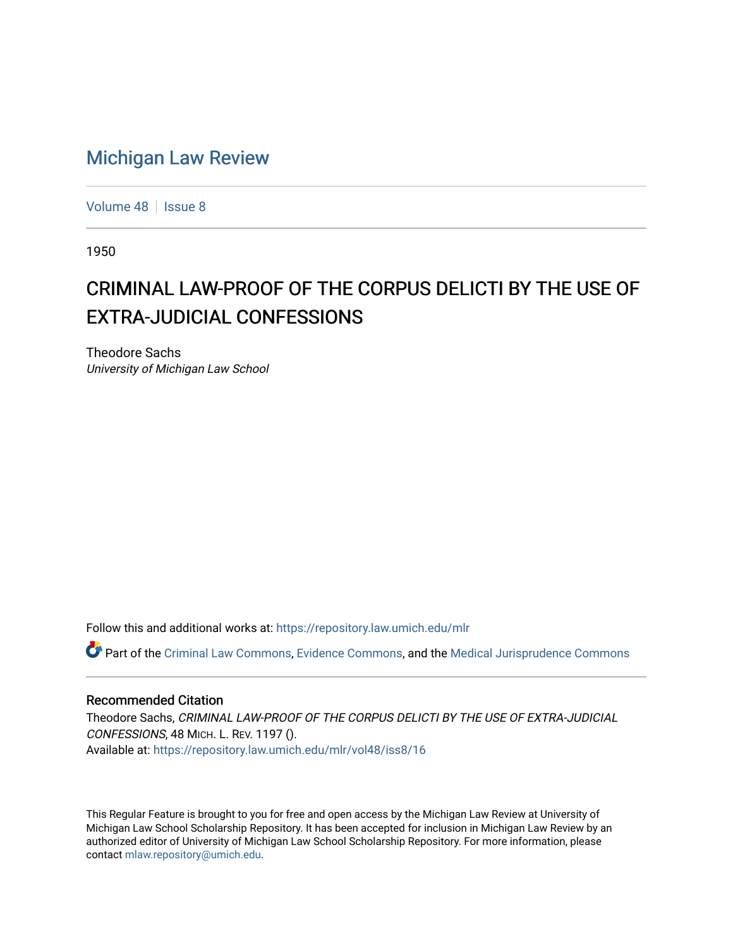## [Michigan Law Review](https://repository.law.umich.edu/mlr)

[Volume 48](https://repository.law.umich.edu/mlr/vol48) | [Issue 8](https://repository.law.umich.edu/mlr/vol48/iss8)

1950

## CRIMINAL LAW-PROOF OF THE CORPUS DELICTI BY THE USE OF EXTRA-JUDICIAL CONFESSIONS

Theodore Sachs University of Michigan Law School

Follow this and additional works at: [https://repository.law.umich.edu/mlr](https://repository.law.umich.edu/mlr?utm_source=repository.law.umich.edu%2Fmlr%2Fvol48%2Fiss8%2F16&utm_medium=PDF&utm_campaign=PDFCoverPages) 

Part of the [Criminal Law Commons,](http://network.bepress.com/hgg/discipline/912?utm_source=repository.law.umich.edu%2Fmlr%2Fvol48%2Fiss8%2F16&utm_medium=PDF&utm_campaign=PDFCoverPages) [Evidence Commons](http://network.bepress.com/hgg/discipline/601?utm_source=repository.law.umich.edu%2Fmlr%2Fvol48%2Fiss8%2F16&utm_medium=PDF&utm_campaign=PDFCoverPages), and the [Medical Jurisprudence Commons](http://network.bepress.com/hgg/discipline/860?utm_source=repository.law.umich.edu%2Fmlr%2Fvol48%2Fiss8%2F16&utm_medium=PDF&utm_campaign=PDFCoverPages)

## Recommended Citation

Theodore Sachs, CRIMINAL LAW-PROOF OF THE CORPUS DELICTI BY THE USE OF EXTRA-JUDICIAL CONFESSIONS, 48 MICH. L. REV. 1197 (). Available at: [https://repository.law.umich.edu/mlr/vol48/iss8/16](https://repository.law.umich.edu/mlr/vol48/iss8/16?utm_source=repository.law.umich.edu%2Fmlr%2Fvol48%2Fiss8%2F16&utm_medium=PDF&utm_campaign=PDFCoverPages) 

This Regular Feature is brought to you for free and open access by the Michigan Law Review at University of Michigan Law School Scholarship Repository. It has been accepted for inclusion in Michigan Law Review by an authorized editor of University of Michigan Law School Scholarship Repository. For more information, please contact [mlaw.repository@umich.edu](mailto:mlaw.repository@umich.edu).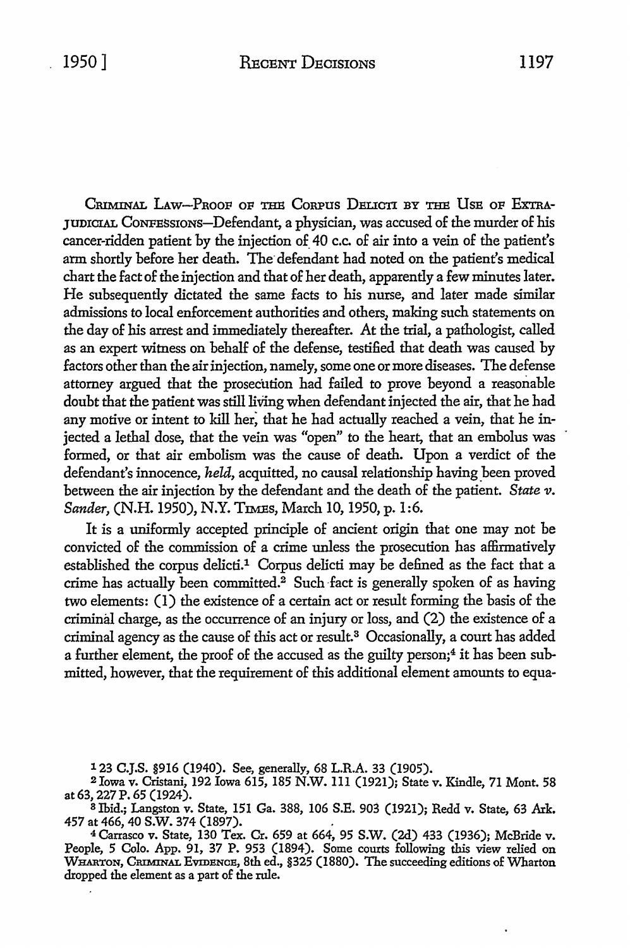CRIMINAL LAW-PROOF OF THE CORPUS DELICTI BY THE USE OF EXTRA-JUDICIAL CoNFESsroNs-Defendant, a physician, was accused of the murder of his cancer-ridden patient by the injection of\_ 40 c.c. of air into a vein of the patient's arm shortly before her death. The defendant had noted on the patient's medical chart the fact of the injection and that of her death, apparently a few minutes later. He subsequently dictated the same facts to his nurse, and later made similar admissions to local enforcement authorities and others, making such statements on the day of his arrest and immediately thereafter. At the trial, a pathologist, called as an expert witness on behalf of the defense, testified that death was caused by factors other than the air injection, namely, some one or more diseases. The defense attorney argued that the prosecution had failed to prove beyond a reasonable doubt that the patient was still living when defendant injected the air, that he had any motive or intent to kill her; that he had actually reached a vein, that he injected a lethal dose, that the vein was "open" to the heart, that an embolus was formed, or that air embolism was the cause of death. Upon a verdict of the defendant's innocence, *held,* acquitted, no causal relationship having been proved between the air injection by the defendant and the death of the patient. State v. *Sander,* (N.H.1950), N.Y. TIMEs, March 10, 1950, p. 1:6.

It is a uniformly accepted principle of ancient origin that one may not be convicted of the commission of a crime unless the prosecution has affirmatively established the corpus delicti.<sup>1</sup> Corpus delicti may be defined as the fact that a crime has actually been committed.<sup>2</sup> Such-fact is generally spoken of as having two elements: (1) the existence of a certain act or result forming the basis of the criminal charge, as the occurrence of an injury or loss, and (2) the existence of a criminal agency as the cause of this act or result. 3 Occasionally, a court has added a further element, the proof of the accused as the guilty person;<sup>4</sup> it has been submitted, however, that the requirement of this additional element amounts to equa-

123 C.J.S. §916 (1940). See, generally, 68 L.R.A. 33 (1905).

<sup>2</sup>Iowa v. Cristani, 192 Iowa 615, 185 N.W. 111 (1921); State v. Kindle, 71 Mont. 58 at 63, 227 P. 65 (1924).

<sup>8</sup>Ibid.; Langston v. State, 151 Ga. 388, 106 S.E. 903 (1921); Redd v. State, 63 Ark. 457 at 466, 40 S.W. 374 (1897). .

<sup>4</sup>Carrasco v. State, 130 Tex. Cr. 659 at 664, 95 S.W. (2d) 433 (1936); McBride v. People, 5 Colo. App. 91, 37 P. 953 (1894). Some courts following this view relied on WHARTON, CRIMINAL EVIDENCE, 8th ed., §325 (1880). The succeeding editions of Wharton dropped the element as a part of the rule.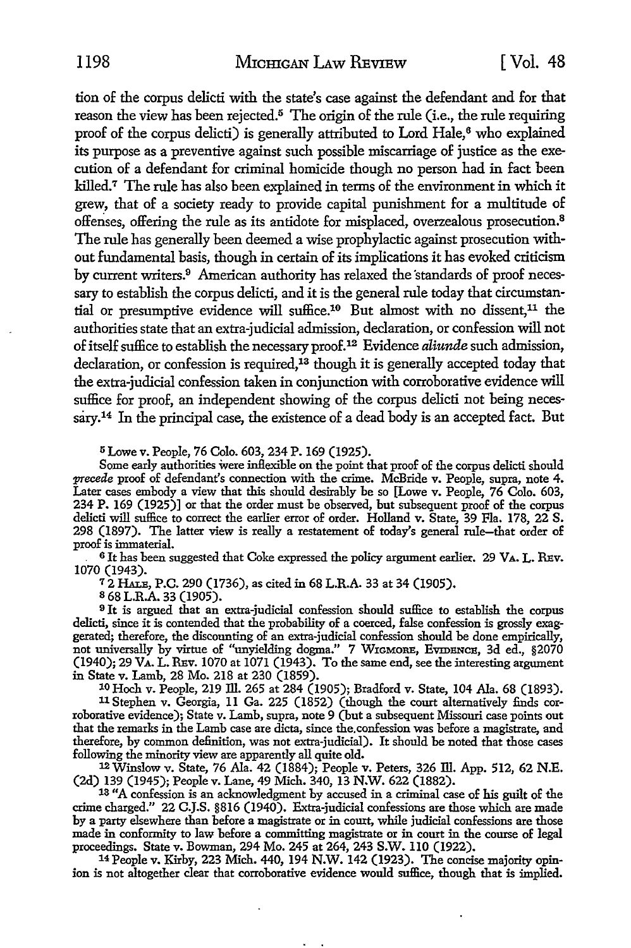1198 MICHIGAN LAW REVIEW [Vol. 48

tion of the corpus delicti with the state's case against the defendant and for that reason the view has been rejected.<sup>5</sup> The origin of the rule (i.e., the rule requiring proof of the corpus delicti) is generally attributed to Lord Hale,<sup>6</sup> who explained its purpose as a preventive against such possible miscarriage of justice as the execution of a defendant for criminal homicide though no person had in fact been killed.<sup>7</sup> The rule has also been explained in terms of the environment in which it grew, that of a society ready to provide capital punishment for a multitude of offenses, offering the rule as its antidote for misplaced, overzealous prosecution.<sup>8</sup> The rule has generally been deemed a wise prophylactic against prosecution without fundamental basis, though in certain of its implications it has evoked criticism by current writers.<sup>9</sup> American authority has relaxed the standards of proof necessary to establish the corpus delicti, and it is the general rule today that circumstantial or presumptive evidence will suffice.<sup>10</sup> But almost with no dissent,<sup>11</sup> the authorities state that an extra-judicial admission, declaration, or confession will not of itself suffice to establish the necessary proof.12 Evidence *aliunde* such admission, declaration, or confession is required,<sup>13</sup> though it is generally accepted today that the extra-judicial confession taken in conjunction with corroborative evidence will suffice for proof, an independent showing of the corpus delicti not being necessary.14 In the principal case, the existence of a dead body is an accepted fact. But

<sup>5</sup>Lowe v. People, 76 Colo. 603, 234 P. 169 (1925).

Some early authorities were inflexible on the point that proof of the corpus delicti should *precede* proof of defendant's connection with the crime. McBride v. People, supra, note 4. Later cases embody a view that this should desirably be so [Lowe v. People, 76 Colo. 603, 234 P. 169 (1925)] or that the order must be observed, but subsequent proof of the corpus delicti will suffice to correct the earlier error of order. Holland v. State, 39 Fla. 178, 22 S. 298 (1897). The latter view is really a restatement of today's general rule-that order of proof is immaterial.

6 It has been suggested that Coke expressed the policy argument earlier. 29 VA, L. REv. 1070 (1943).

<sup>7</sup>2 HALE, P.C. 290 (1736), as cited in 68 L.R.A. 33 at 34 (1905).

s 68 L.R.A. 33 (1905).

<sup>9</sup>It is argued that an extra-judicial confession should suffice to establish the corpus delicti, since it is contended that the probability of a coerced, false confession is grossly exaggerated; therefore, the discounting of an extra-judicial confession should be done empirically, not universally by virtue of "unyielding dogma." 7 WIGMORE, EVIDENCE, 3d ed., §2070 (1940); 29 VA. L. REv. 1070 at 1071 (1943), To the same end, see the interesting argument in State v. Lamb, 28 Mo. 218 at 230 (1859).

10 Hoch v. People, 219 Ill. 265 at 284 (1905); Bradford v. State, 104 Ala. 68 (1893).

11 Stephen v. Georgia, 11 Ga. 225 (1852) (though the court alternatively £nds corroborative evidence); State v. Lamb, supra, note 9 (but a subsequent Missouri case points out that the remarks in the Lamb case are dicta, since the.confession was before a magistrate, and therefore, by common definition, was not extra-judicial). It should be noted that those cases following the minority view are apparently all quite old.

12 Winslow v. State, 76 Ala. 42 (1884); People v. Peters, 326 ID. App. 512, 62 N.E. (2d) 139 (1945); People v. Lane, 49 Mich. 340, 13 N.W. 622 (1882).

13 "A confession is an acknowledgment by accused in a criminal case of his guilt of the crime charged." 22 C.J.S. §816 (1940). Extra-judicial confessions are those which are made by a party elsewhere than before a magistrate or in court, while judicial confessions are those made in conformity to law before a committing magistrate or in court in the course of legal proceedings. State v. Bowman, 294 Mo. 245 at 264, 243 S.W. 110 (1922). 14 People v. Kirby, 223 Mich. 440, 194 N.W. 142 (1923). The concise majority opin-

ion is not altogether clear that corroborative evidence would suffice, though that is implied.